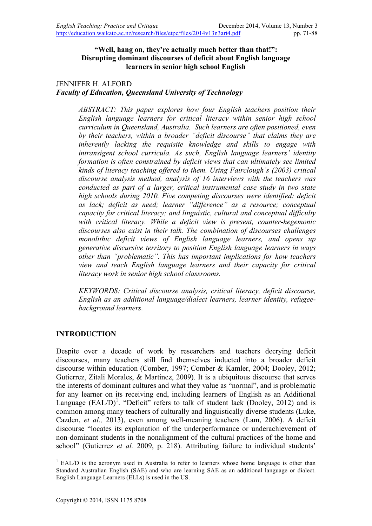## **"Well, hang on, they're actually much better than that!": Disrupting dominant discourses of deficit about English language learners in senior high school English**

#### JENNIFER H. ALFORD *Faculty of Education, Queensland University of Technology*

*ABSTRACT: This paper explores how four English teachers position their English language learners for critical literacy within senior high school curriculum in Queensland, Australia. Such learners are often positioned, even by their teachers, within a broader "deficit discourse" that claims they are inherently lacking the requisite knowledge and skills to engage with intransigent school curricula. As such, English language learners' identity formation is often constrained by deficit views that can ultimately see limited kinds of literacy teaching offered to them. Using Fairclough's (2003) critical discourse analysis method, analysis of 16 interviews with the teachers was conducted as part of a larger, critical instrumental case study in two state high schools during 2010. Five competing discourses were identified: deficit as lack; deficit as need; learner "difference" as a resource; conceptual capacity for critical literacy; and linguistic, cultural and conceptual difficulty with critical literacy. While a deficit view is present, counter-hegemonic discourses also exist in their talk. The combination of discourses challenges monolithic deficit views of English language learners, and opens up generative discursive territory to position English language learners in ways other than "problematic". This has important implications for how teachers view and teach English language learners and their capacity for critical literacy work in senior high school classrooms.* 

*KEYWORDS: Critical discourse analysis, critical literacy, deficit discourse, English as an additional language/dialect learners, learner identity, refugeebackground learners.*

## **INTRODUCTION**

Despite over a decade of work by researchers and teachers decrying deficit discourses, many teachers still find themselves inducted into a broader deficit discourse within education (Comber, 1997; Comber & Kamler, 2004; Dooley, 2012; Gutierrez, Zitali Morales, & Martinez, 2009). It is a ubiquitous discourse that serves the interests of dominant cultures and what they value as "normal", and is problematic for any learner on its receiving end, including learners of English as an Additional Language  $(EAL/D)^1$ . "Deficit" refers to talk of student lack (Dooley, 2012) and is common among many teachers of culturally and linguistically diverse students (Luke, Cazden, *et al.,* 2013), even among well-meaning teachers (Lam, 2006). A deficit discourse "locates its explanation of the underperformance or underachievement of non-dominant students in the nonalignment of the cultural practices of the home and school" (Gutierrez *et al.* 2009, p. 218). Attributing failure to individual students'

 $1$  EAL/D is the acronym used in Australia to refer to learners whose home language is other than Standard Australian English (SAE) and who are learning SAE as an additional language or dialect. English Language Learners (ELLs) is used in the US.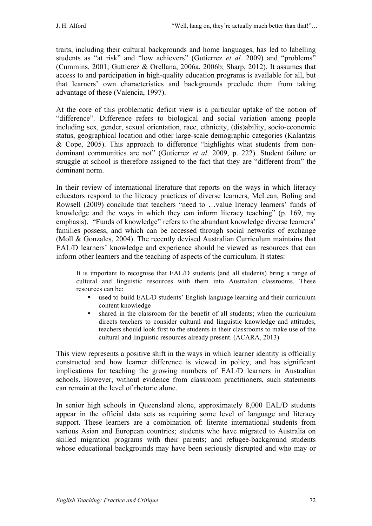traits, including their cultural backgrounds and home languages, has led to labelling students as "at risk" and "low achievers" (Gutierrez *et al.* 2009) and "problems" (Cummins, 2001; Guttierez & Orellana, 2006a, 2006b; Sharp, 2012). It assumes that access to and participation in high-quality education programs is available for all, but that learners' own characteristics and backgrounds preclude them from taking advantage of these (Valencia, 1997).

At the core of this problematic deficit view is a particular uptake of the notion of "difference". Difference refers to biological and social variation among people including sex, gender, sexual orientation, race, ethnicity, (dis)ability, socio-economic status, geographical location and other large-scale demographic categories (Kalantzis & Cope, 2005). This approach to difference "highlights what students from nondominant communities are not" (Gutierrez *et al*. 2009, p. 222). Student failure or struggle at school is therefore assigned to the fact that they are "different from" the dominant norm.

In their review of international literature that reports on the ways in which literacy educators respond to the literacy practices of diverse learners, McLean, Boling and Rowsell (2009) conclude that teachers "need to …value literacy learners' funds of knowledge and the ways in which they can inform literacy teaching" (p. 169, my emphasis). "Funds of knowledge" refers to the abundant knowledge diverse learners' families possess, and which can be accessed through social networks of exchange (Moll & Gonzales, 2004). The recently devised Australian Curriculum maintains that EAL/D learners' knowledge and experience should be viewed as resources that can inform other learners and the teaching of aspects of the curriculum. It states:

It is important to recognise that EAL/D students (and all students) bring a range of cultural and linguistic resources with them into Australian classrooms. These resources can be:

- used to build EAL/D students' English language learning and their curriculum content knowledge
- shared in the classroom for the benefit of all students; when the curriculum directs teachers to consider cultural and linguistic knowledge and attitudes, teachers should look first to the students in their classrooms to make use of the cultural and linguistic resources already present. (ACARA, 2013)

This view represents a positive shift in the ways in which learner identity is officially constructed and how learner difference is viewed in policy, and has significant implications for teaching the growing numbers of EAL/D learners in Australian schools. However, without evidence from classroom practitioners, such statements can remain at the level of rhetoric alone.

In senior high schools in Queensland alone, approximately 8,000 EAL/D students appear in the official data sets as requiring some level of language and literacy support. These learners are a combination of: literate international students from various Asian and European countries; students who have migrated to Australia on skilled migration programs with their parents; and refugee-background students whose educational backgrounds may have been seriously disrupted and who may or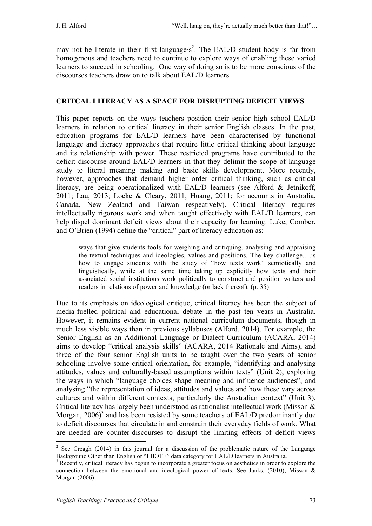may not be literate in their first language/ $s^2$ . The EAL/D student body is far from homogenous and teachers need to continue to explore ways of enabling these varied learners to succeed in schooling. One way of doing so is to be more conscious of the discourses teachers draw on to talk about EAL/D learners.

## **CRITCAL LITERACY AS A SPACE FOR DISRUPTING DEFICIT VIEWS**

This paper reports on the ways teachers position their senior high school EAL/D learners in relation to critical literacy in their senior English classes. In the past, education programs for EAL/D learners have been characterised by functional language and literacy approaches that require little critical thinking about language and its relationship with power. These restricted programs have contributed to the deficit discourse around EAL/D learners in that they delimit the scope of language study to literal meaning making and basic skills development. More recently, however, approaches that demand higher order critical thinking, such as critical literacy, are being operationalized with EAL/D learners (see Alford & Jetnikoff, 2011; Lau, 2013; Locke & Cleary, 2011; Huang, 2011; for accounts in Australia, Canada, New Zealand and Taiwan respectively). Critical literacy requires intellectually rigorous work and when taught effectively with EAL/D learners, can help dispel dominant deficit views about their capacity for learning. Luke, Comber, and O'Brien (1994) define the "critical" part of literacy education as:

ways that give students tools for weighing and critiquing, analysing and appraising the textual techniques and ideologies, values and positions. The key challenge….is how to engage students with the study of "how texts work" semiotically and linguistically, while at the same time taking up explicitly how texts and their associated social institutions work politically to construct and position writers and readers in relations of power and knowledge (or lack thereof). (p. 35)

Due to its emphasis on ideological critique, critical literacy has been the subject of media-fuelled political and educational debate in the past ten years in Australia. However, it remains evident in current national curriculum documents, though in much less visible ways than in previous syllabuses (Alford, 2014). For example, the Senior English as an Additional Language or Dialect Curriculum (ACARA, 2014) aims to develop "critical analysis skills" (ACARA, 2014 Rationale and Aims), and three of the four senior English units to be taught over the two years of senior schooling involve some critical orientation, for example, "identifying and analysing attitudes, values and culturally-based assumptions within texts" (Unit 2); exploring the ways in which "language choices shape meaning and influence audiences", and analysing "the representation of ideas, attitudes and values and how these vary across cultures and within different contexts, particularly the Australian context" (Unit 3). Critical literacy has largely been understood as rationalist intellectual work (Misson & Morgan,  $2006$ <sup>3</sup> and has been resisted by some teachers of EAL/D predominantly due to deficit discourses that circulate in and constrain their everyday fields of work. What are needed are counter-discourses to disrupt the limiting effects of deficit views

<sup>&</sup>lt;sup>2</sup> See Creagh (2014) in this journal for a discussion of the problematic nature of the Language Background Other than English or "LBOTE" data category for EAL/D learners in Australia.

<sup>3</sup> Recently, critical literacy has begun to incorporate a greater focus on aesthetics in order to explore the connection between the emotional and ideological power of texts. See Janks,  $(2010)$ ; Misson & Morgan (2006)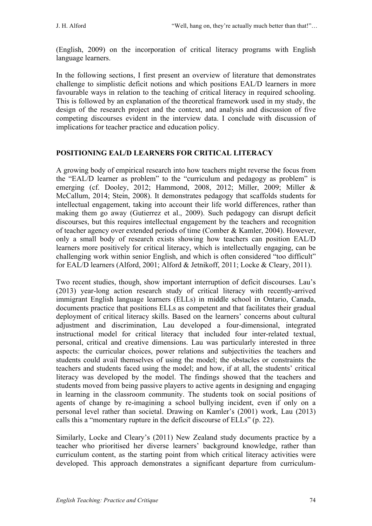(English, 2009) on the incorporation of critical literacy programs with English language learners.

In the following sections, I first present an overview of literature that demonstrates challenge to simplistic deficit notions and which positions EAL/D learners in more favourable ways in relation to the teaching of critical literacy in required schooling. This is followed by an explanation of the theoretical framework used in my study, the design of the research project and the context, and analysis and discussion of five competing discourses evident in the interview data. I conclude with discussion of implications for teacher practice and education policy.

## **POSITIONING EAL/D LEARNERS FOR CRITICAL LITERACY**

A growing body of empirical research into how teachers might reverse the focus from the "EAL/D learner as problem" to the "curriculum and pedagogy as problem" is emerging (cf. Dooley, 2012; Hammond, 2008, 2012; Miller, 2009; Miller & McCallum, 2014; Stein, 2008). It demonstrates pedagogy that scaffolds students for intellectual engagement, taking into account their life world differences, rather than making them go away (Gutierrez et al., 2009). Such pedagogy can disrupt deficit discourses, but this requires intellectual engagement by the teachers and recognition of teacher agency over extended periods of time (Comber & Kamler, 2004). However, only a small body of research exists showing how teachers can position EAL/D learners more positively for critical literacy, which is intellectually engaging, can be challenging work within senior English, and which is often considered "too difficult" for EAL/D learners (Alford, 2001; Alford & Jetnikoff, 2011; Locke & Cleary, 2011).

Two recent studies, though, show important interruption of deficit discourses. Lau's (2013) year-long action research study of critical literacy with recently-arrived immigrant English language learners (ELLs) in middle school in Ontario, Canada, documents practice that positions ELLs as competent and that facilitates their gradual deployment of critical literacy skills. Based on the learners' concerns about cultural adjustment and discrimination, Lau developed a four-dimensional, integrated instructional model for critical literacy that included four inter-related textual, personal, critical and creative dimensions. Lau was particularly interested in three aspects: the curricular choices, power relations and subjectivities the teachers and students could avail themselves of using the model; the obstacles or constraints the teachers and students faced using the model; and how, if at all, the students' critical literacy was developed by the model. The findings showed that the teachers and students moved from being passive players to active agents in designing and engaging in learning in the classroom community. The students took on social positions of agents of change by re-imagining a school bullying incident, even if only on a personal level rather than societal. Drawing on Kamler's (2001) work, Lau (2013) calls this a "momentary rupture in the deficit discourse of ELLs" (p. 22).

Similarly, Locke and Cleary's (2011) New Zealand study documents practice by a teacher who prioritised her diverse learners' background knowledge, rather than curriculum content, as the starting point from which critical literacy activities were developed. This approach demonstrates a significant departure from curriculum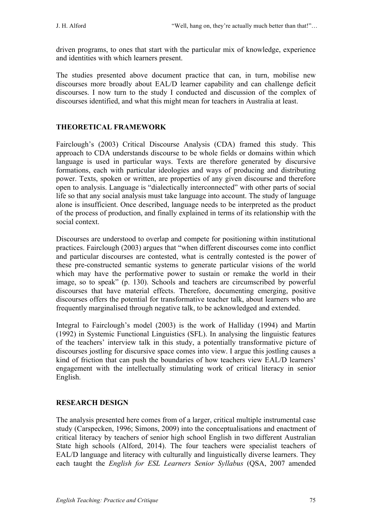driven programs, to ones that start with the particular mix of knowledge, experience and identities with which learners present.

The studies presented above document practice that can, in turn, mobilise new discourses more broadly about EAL/D learner capability and can challenge deficit discourses. I now turn to the study I conducted and discussion of the complex of discourses identified, and what this might mean for teachers in Australia at least.

# **THEORETICAL FRAMEWORK**

Fairclough's (2003) Critical Discourse Analysis (CDA) framed this study. This approach to CDA understands discourse to be whole fields or domains within which language is used in particular ways. Texts are therefore generated by discursive formations, each with particular ideologies and ways of producing and distributing power. Texts, spoken or written, are properties of any given discourse and therefore open to analysis. Language is "dialectically interconnected" with other parts of social life so that any social analysis must take language into account. The study of language alone is insufficient. Once described, language needs to be interpreted as the product of the process of production, and finally explained in terms of its relationship with the social context.

Discourses are understood to overlap and compete for positioning within institutional practices. Fairclough (2003) argues that "when different discourses come into conflict and particular discourses are contested, what is centrally contested is the power of these pre-constructed semantic systems to generate particular visions of the world which may have the performative power to sustain or remake the world in their image, so to speak" (p. 130). Schools and teachers are circumscribed by powerful discourses that have material effects. Therefore, documenting emerging, positive discourses offers the potential for transformative teacher talk, about learners who are frequently marginalised through negative talk, to be acknowledged and extended.

Integral to Fairclough's model (2003) is the work of Halliday (1994) and Martin (1992) in Systemic Functional Linguistics (SFL). In analysing the linguistic features of the teachers' interview talk in this study, a potentially transformative picture of discourses jostling for discursive space comes into view. I argue this jostling causes a kind of friction that can push the boundaries of how teachers view EAL/D learners' engagement with the intellectually stimulating work of critical literacy in senior English.

# **RESEARCH DESIGN**

The analysis presented here comes from of a larger, critical multiple instrumental case study (Carspecken, 1996; Simons, 2009) into the conceptualisations and enactment of critical literacy by teachers of senior high school English in two different Australian State high schools (Alford, 2014). The four teachers were specialist teachers of EAL/D language and literacy with culturally and linguistically diverse learners. They each taught the *English for ESL Learners Senior Syllabus* (QSA, 2007 amended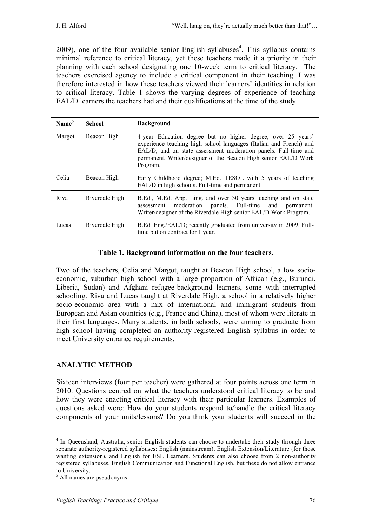2009), one of the four available senior English syllabuses<sup>4</sup>. This syllabus contains minimal reference to critical literacy, yet these teachers made it a priority in their planning with each school designating one 10-week term to critical literacy. The teachers exercised agency to include a critical component in their teaching. I was therefore interested in how these teachers viewed their learners' identities in relation to critical literacy. Table 1 shows the varying degrees of experience of teaching EAL/D learners the teachers had and their qualifications at the time of the study.

| Name <sup>5</sup> | <b>School</b>  | <b>Background</b>                                                                                                                                                                                                                                                                    |
|-------------------|----------------|--------------------------------------------------------------------------------------------------------------------------------------------------------------------------------------------------------------------------------------------------------------------------------------|
| Margot            | Beacon High    | 4-year Education degree but no higher degree; over 25 years'<br>experience teaching high school languages (Italian and French) and<br>EAL/D, and on state assessment moderation panels. Full-time and<br>permanent. Writer/designer of the Beacon High senior EAL/D Work<br>Program. |
| Celia             | Beacon High    | Early Childhood degree; M.Ed. TESOL with 5 years of teaching<br>EAL/D in high schools. Full-time and permanent.                                                                                                                                                                      |
| Riva              | Riverdale High | B.Ed., M.Ed. App. Ling. and over 30 years teaching and on state<br>moderation panels. Full-time and<br>assessment<br>permanent.<br>Writer/designer of the Riverdale High senior EAL/D Work Program.                                                                                  |
| Lucas             | Riverdale High | B.Ed. Eng./EAL/D; recently graduated from university in 2009. Full-<br>time but on contract for 1 year.                                                                                                                                                                              |

## **Table 1. Background information on the four teachers.**

Two of the teachers, Celia and Margot, taught at Beacon High school, a low socioeconomic, suburban high school with a large proportion of African (e.g., Burundi, Liberia, Sudan) and Afghani refugee-background learners, some with interrupted schooling. Riva and Lucas taught at Riverdale High, a school in a relatively higher socio-economic area with a mix of international and immigrant students from European and Asian countries (e.g., France and China), most of whom were literate in their first languages. Many students, in both schools, were aiming to graduate from high school having completed an authority-registered English syllabus in order to meet University entrance requirements.

## **ANALYTIC METHOD**

Sixteen interviews (four per teacher) were gathered at four points across one term in 2010. Questions centred on what the teachers understood critical literacy to be and how they were enacting critical literacy with their particular learners. Examples of questions asked were: How do your students respond to/handle the critical literacy components of your units/lessons? Do you think your students will succeed in the

<sup>&</sup>lt;sup>4</sup> In Oueensland, Australia, senior English students can choose to undertake their study through three separate authority-registered syllabuses: English (mainstream), English Extension/Literature (for those wanting extension), and English for ESL Learners. Students can also choose from 2 non-authority registered syllabuses, English Communication and Functional English, but these do not allow entrance to University.

 $<sup>5</sup>$  All names are pseudonyms.</sup>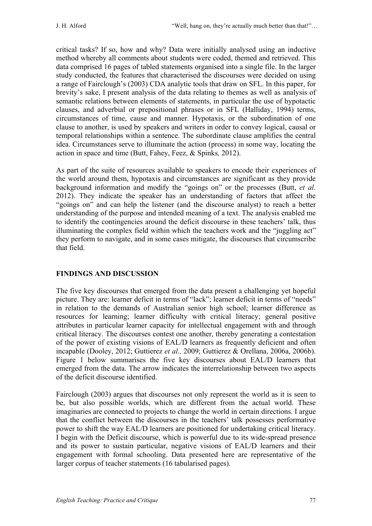critical tasks? If so, how and why? Data were initially analysed using an inductive method whereby all comments about students were coded, themed and retrieved. This data comprised 16 pages of tabled statements organised into a single file. In the larger study conducted, the features that characterised the discourses were decided on using a range of Fairclough's (2003) CDA analytic tools that draw on SFL. In this paper, for brevity's sake, I present analysis of the data relating to themes as well as analysis of semantic relations between elements of statements, in particular the use of hypotactic clauses, and adverbial or prepositional phrases or in SFL (Halliday, 1994) terms, circumstances of time, cause and manner. Hypotaxis, or the subordination of one clause to another, is used by speakers and writers in order to convey logical, causal or temporal relationships within a sentence. The subordinate clause amplifies the central idea. Circumstances serve to illuminate the action (process) in some way, locating the action in space and time (Butt, Fahey, Feez, & Spinks*,* 2012).

As part of the suite of resources available to speakers to encode their experiences of the world around them, hypotaxis and circumstances are significant as they provide background information and modify the "goings on" or the processes (Butt, *et al*. 2012). They indicate the speaker has an understanding of factors that affect the "goings on" and can help the listener (and the discourse analyst) to reach a better understanding of the purpose and intended meaning of a text. The analysis enabled me to identify the contingencies around the deficit discourse in these teachers' talk, thus illuminating the complex field within which the teachers work and the "juggling act" they perform to navigate, and in some cases mitigate, the discourses that circumscribe that field.

# **FINDINGS AND DISCUSSION**

The five key discourses that emerged from the data present a challenging yet hopeful picture. They are: learner deficit in terms of "lack"; learner deficit in terms of "needs" in relation to the demands of Australian senior high school; learner difference as resources for learning; learner difficulty with critical literacy; general positive attributes in particular learner capacity for intellectual engagement with and through critical literacy. The discourses contest one another, thereby generating a contestation of the power of existing visions of EAL/D learners as frequently deficient and often incapable (Dooley, 2012; Guttierez *et al.,* 2009; Guttierez & Orellana, 2006a, 2006b). Figure 1 below summarises the five key discourses about EAL/D learners that emerged from the data. The arrow indicates the interrelationship between two aspects of the deficit discourse identified.

Fairclough (2003) argues that discourses not only represent the world as it is seen to be, but also possible worlds, which are different from the actual world. These imaginaries are connected to projects to change the world in certain directions. I argue that the conflict between the discourses in the teachers' talk possesses performative power to shift the way EAL/D learners are positioned for undertaking critical literacy. I begin with the Deficit discourse, which is powerful due to its wide-spread presence and its power to sustain particular, negative visions of EAL/D learners and their engagement with formal schooling. Data presented here are representative of the larger corpus of teacher statements (16 tabularised pages).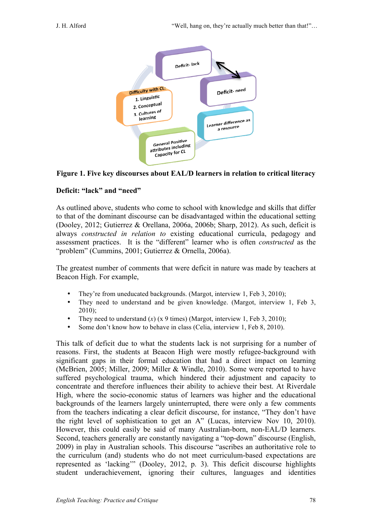

### **Figure 1. Five key discourses about EAL/D learners in relation to critical literacy**

## **Deficit: "lack" and "need"**

As outlined above, students who come to school with knowledge and skills that differ to that of the dominant discourse can be disadvantaged within the educational setting (Dooley, 2012; Gutierrez & Orellana, 2006a, 2006b; Sharp, 2012). As such, deficit is always *constructed in relation to* existing educational curricula, pedagogy and assessment practices. It is the "different" learner who is often *constructed* as the "problem" (Cummins, 2001; Gutierrez & Ornella, 2006a).

The greatest number of comments that were deficit in nature was made by teachers at Beacon High. For example,

- They're from uneducated backgrounds. (Margot, interview 1, Feb 3, 2010);
- They need to understand and be given knowledge. (Margot, interview 1, Feb 3,  $2010$ ;
- They need to understand  $(x)$  (x 9 times) (Margot, interview 1, Feb 3, 2010);
- Some don't know how to behave in class (Celia, interview 1, Feb 8, 2010).

This talk of deficit due to what the students lack is not surprising for a number of reasons. First, the students at Beacon High were mostly refugee-background with significant gaps in their formal education that had a direct impact on learning (McBrien, 2005; Miller, 2009; Miller & Windle, 2010). Some were reported to have suffered psychological trauma, which hindered their adjustment and capacity to concentrate and therefore influences their ability to achieve their best. At Riverdale High, where the socio-economic status of learners was higher and the educational backgrounds of the learners largely uninterrupted, there were only a few comments from the teachers indicating a clear deficit discourse, for instance, "They don't have the right level of sophistication to get an A" (Lucas, interview Nov 10, 2010). However, this could easily be said of many Australian-born, non-EAL/D learners. Second, teachers generally are constantly navigating a "top-down" discourse (English, 2009) in play in Australian schools. This discourse "ascribes an authoritative role to the curriculum (and) students who do not meet curriculum-based expectations are represented as 'lacking'" (Dooley, 2012, p. 3). This deficit discourse highlights student underachievement, ignoring their cultures, languages and identities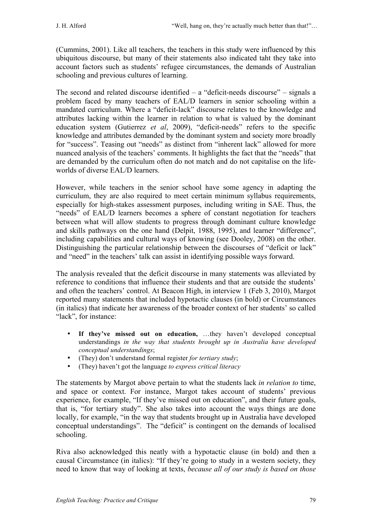(Cummins, 2001). Like all teachers, the teachers in this study were influenced by this ubiquitous discourse, but many of their statements also indicated taht they take into account factors such as students' refugee circumstances, the demands of Australian schooling and previous cultures of learning.

The second and related discourse identified  $-$  a "deficit-needs discourse"  $-$  signals a problem faced by many teachers of EAL/D learners in senior schooling within a mandated curriculum. Where a "deficit-lack" discourse relates to the knowledge and attributes lacking within the learner in relation to what is valued by the dominant education system (Gutierrez *et al*, 2009), "deficit-needs" refers to the specific knowledge and attributes demanded by the dominant system and society more broadly for "success". Teasing out "needs" as distinct from "inherent lack" allowed for more nuanced analysis of the teachers' comments. It highlights the fact that the "needs" that are demanded by the curriculum often do not match and do not capitalise on the lifeworlds of diverse EAL/D learners.

However, while teachers in the senior school have some agency in adapting the curriculum, they are also required to meet certain minimum syllabus requirements, especially for high-stakes assessment purposes, including writing in SAE. Thus, the "needs" of EAL/D learners becomes a sphere of constant negotiation for teachers between what will allow students to progress through dominant culture knowledge and skills pathways on the one hand (Delpit, 1988, 1995), and learner "difference", including capabilities and cultural ways of knowing (see Dooley, 2008) on the other. Distinguishing the particular relationship between the discourses of "deficit or lack" and "need" in the teachers' talk can assist in identifying possible ways forward.

The analysis revealed that the deficit discourse in many statements was alleviated by reference to conditions that influence their students and that are outside the students' and often the teachers' control. At Beacon High, in interview 1 (Feb 3, 2010), Margot reported many statements that included hypotactic clauses (in bold) or Circumstances (in italics) that indicate her awareness of the broader context of her students' so called "lack", for instance:

- **If they've missed out on education,** …they haven't developed conceptual understandings *in the way that students brought up in Australia have developed conceptual understandings*;
- (They) don't understand formal register *for tertiary study*;
- (They) haven't got the language *to express critical literacy*

The statements by Margot above pertain to what the students lack *in relation to* time, and space or context. For instance, Margot takes account of students' previous experience, for example, "If they've missed out on education", and their future goals, that is, "for tertiary study". She also takes into account the ways things are done locally, for example, "in the way that students brought up in Australia have developed conceptual understandings". The "deficit" is contingent on the demands of localised schooling.

Riva also acknowledged this neatly with a hypotactic clause (in bold) and then a causal Circumstance (in italics): "If they're going to study in a western society, they need to know that way of looking at texts, *because all of our study is based on those*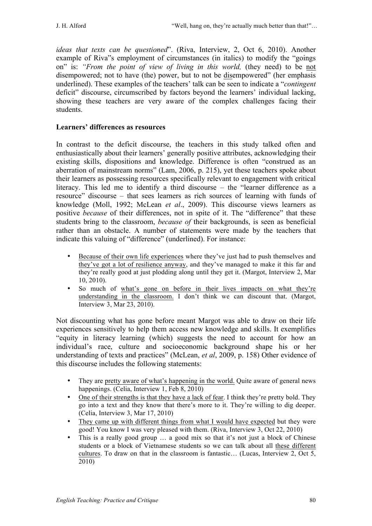*ideas that texts can be questioned*". (Riva, Interview, 2, Oct 6, 2010). Another example of Riva"s employment of circumstances (in italics) to modify the "goings on" is: *"From the point of view of living in this world,* (they need) to be not disempowered; not to have (the) power, but to not be disempowered" (her emphasis underlined). These examples of the teachers' talk can be seen to indicate a "*contingent* deficit" discourse, circumscribed by factors beyond the learners' individual lacking, showing these teachers are very aware of the complex challenges facing their students.

### **Learners' differences as resources**

In contrast to the deficit discourse, the teachers in this study talked often and enthusiastically about their learners' generally positive attributes, acknowledging their existing skills, dispositions and knowledge. Difference is often "construed as an aberration of mainstream norms" (Lam, 2006, p. 215), yet these teachers spoke about their learners as possessing resources specifically relevant to engagement with critical literacy. This led me to identify a third discourse – the "learner difference as a resource" discourse – that sees learners as rich sources of learning with funds of knowledge (Moll, 1992; McLean *et al*., 2009). This discourse views learners as positive *because* of their differences, not in spite of it. The "difference" that these students bring to the classroom, *because of* their backgrounds, is seen as beneficial rather than an obstacle. A number of statements were made by the teachers that indicate this valuing of "difference" (underlined). For instance:

- Because of their own life experiences where they've just had to push themselves and they've got a lot of resilience anyway, and they've managed to make it this far and they're really good at just plodding along until they get it. (Margot, Interview 2, Mar 10, 2010).
- So much of what's gone on before in their lives impacts on what they're understanding in the classroom. I don't think we can discount that. (Margot, Interview 3, Mar 23, 2010).

Not discounting what has gone before meant Margot was able to draw on their life experiences sensitively to help them access new knowledge and skills. It exemplifies "equity in literacy learning (which) suggests the need to account for how an individual's race, culture and socioeconomic background shape his or her understanding of texts and practices" (McLean, *et al*, 2009, p. 158) Other evidence of this discourse includes the following statements:

- They are pretty aware of what's happening in the world. Ouite aware of general news happenings. (Celia, Interview 1, Feb 8, 2010)
- One of their strengths is that they have a lack of fear. I think they're pretty bold. They go into a text and they know that there's more to it. They're willing to dig deeper. (Celia, Interview 3, Mar 17, 2010)
- They came up with different things from what I would have expected but they were good! You know I was very pleased with them. (Riva, Interview 3, Oct 22, 2010)
- This is a really good group ... a good mix so that it's not just a block of Chinese students or a block of Vietnamese students so we can talk about all these different cultures. To draw on that in the classroom is fantastic… (Lucas, Interview 2, Oct 5, 2010)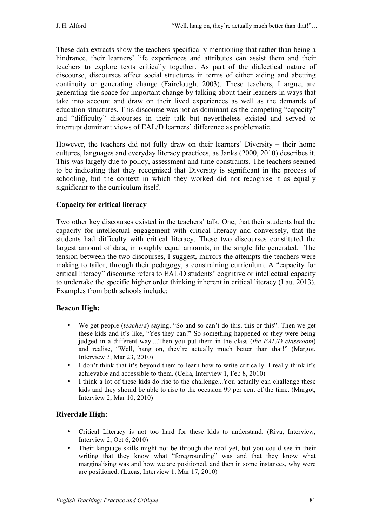These data extracts show the teachers specifically mentioning that rather than being a hindrance, their learners' life experiences and attributes can assist them and their teachers to explore texts critically together. As part of the dialectical nature of discourse, discourses affect social structures in terms of either aiding and abetting continuity or generating change (Fairclough, 2003). These teachers, I argue, are generating the space for important change by talking about their learners in ways that take into account and draw on their lived experiences as well as the demands of education structures. This discourse was not as dominant as the competing "capacity" and "difficulty" discourses in their talk but nevertheless existed and served to interrupt dominant views of EAL/D learners' difference as problematic.

However, the teachers did not fully draw on their learners' Diversity – their home cultures, languages and everyday literacy practices, as Janks (2000, 2010) describes it. This was largely due to policy, assessment and time constraints. The teachers seemed to be indicating that they recognised that Diversity is significant in the process of schooling, but the context in which they worked did not recognise it as equally significant to the curriculum itself.

### **Capacity for critical literacy**

Two other key discourses existed in the teachers' talk. One, that their students had the capacity for intellectual engagement with critical literacy and conversely, that the students had difficulty with critical literacy. These two discourses constituted the largest amount of data, in roughly equal amounts, in the single file generated. The tension between the two discourses, I suggest, mirrors the attempts the teachers were making to tailor, through their pedagogy, a constraining curriculum. A "capacity for critical literacy" discourse refers to EAL/D students' cognitive or intellectual capacity to undertake the specific higher order thinking inherent in critical literacy (Lau, 2013). Examples from both schools include:

#### **Beacon High:**

- We get people (*teachers*) saying, "So and so can't do this, this or this". Then we get these kids and it's like, "Yes they can!" So something happened or they were being judged in a different way....Then you put them in the class (*the EAL/D classroom*) and realise, "Well, hang on, they're actually much better than that!" (Margot, Interview 3, Mar 23, 2010)
- I don't think that it's beyond them to learn how to write critically. I really think it's achievable and accessible to them. (Celia, Interview 1, Feb 8, 2010)
- I think a lot of these kids do rise to the challenge...You actually can challenge these kids and they should be able to rise to the occasion 99 per cent of the time. (Margot, Interview 2, Mar 10, 2010)

## **Riverdale High:**

- Critical Literacy is not too hard for these kids to understand. (Riva, Interview, Interview 2, Oct 6, 2010)
- Their language skills might not be through the roof yet, but you could see in their writing that they know what "foregrounding" was and that they know what marginalising was and how we are positioned, and then in some instances, why were are positioned. (Lucas, Interview 1, Mar 17, 2010)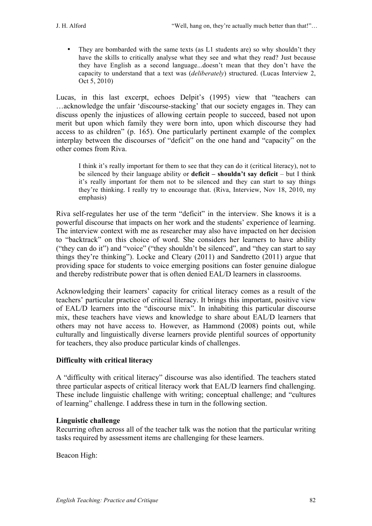They are bombarded with the same texts (as L1 students are) so why shouldn't they have the skills to critically analyse what they see and what they read? Just because they have English as a second language...doesn't mean that they don't have the capacity to understand that a text was (*deliberately*) structured. (Lucas Interview 2, Oct 5, 2010)

Lucas, in this last excerpt, echoes Delpit's (1995) view that "teachers can …acknowledge the unfair 'discourse-stacking' that our society engages in. They can discuss openly the injustices of allowing certain people to succeed, based not upon merit but upon which family they were born into, upon which discourse they had access to as children" (p. 165). One particularly pertinent example of the complex interplay between the discourses of "deficit" on the one hand and "capacity" on the other comes from Riva.

I think it's really important for them to see that they can do it (critical literacy), not to be silenced by their language ability or **deficit – shouldn't say deficit** – but I think it's really important for them not to be silenced and they can start to say things they're thinking. I really try to encourage that. (Riva, Interview, Nov 18, 2010, my emphasis)

Riva self-regulates her use of the term "deficit" in the interview. She knows it is a powerful discourse that impacts on her work and the students' experience of learning. The interview context with me as researcher may also have impacted on her decision to "backtrack" on this choice of word. She considers her learners to have ability ("they can do it") and "voice" ("they shouldn't be silenced", and "they can start to say things they're thinking"). Locke and Cleary (2011) and Sandretto (2011) argue that providing space for students to voice emerging positions can foster genuine dialogue and thereby redistribute power that is often denied EAL/D learners in classrooms.

Acknowledging their learners' capacity for critical literacy comes as a result of the teachers' particular practice of critical literacy. It brings this important, positive view of EAL/D learners into the "discourse mix". In inhabiting this particular discourse mix, these teachers have views and knowledge to share about EAL/D learners that others may not have access to. However, as Hammond (2008) points out, while culturally and linguistically diverse learners provide plentiful sources of opportunity for teachers, they also produce particular kinds of challenges.

## **Difficulty with critical literacy**

A "difficulty with critical literacy" discourse was also identified. The teachers stated three particular aspects of critical literacy work that EAL/D learners find challenging. These include linguistic challenge with writing; conceptual challenge; and "cultures of learning" challenge. I address these in turn in the following section.

#### **Linguistic challenge**

Recurring often across all of the teacher talk was the notion that the particular writing tasks required by assessment items are challenging for these learners.

Beacon High: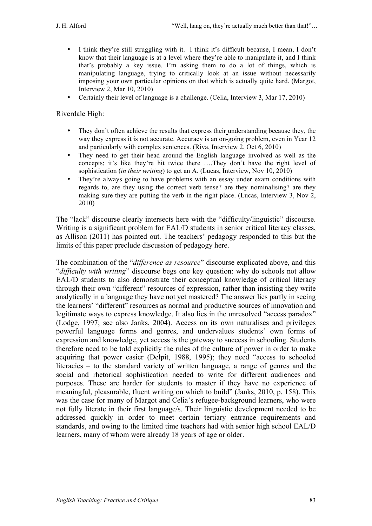- I think they're still struggling with it. I think it's difficult because, I mean, I don't know that their language is at a level where they're able to manipulate it, and I think that's probably a key issue. I'm asking them to do a lot of things, which is manipulating language, trying to critically look at an issue without necessarily imposing your own particular opinions on that which is actually quite hard. (Margot, Interview 2, Mar 10, 2010)
- Certainly their level of language is a challenge. (Celia, Interview 3, Mar 17, 2010)

Riverdale High:

- They don't often achieve the results that express their understanding because they, the way they express it is not accurate. Accuracy is an on-going problem, even in Year 12 and particularly with complex sentences. (Riva, Interview 2, Oct 6, 2010)
- They need to get their head around the English language involved as well as the concepts; it's like they're hit twice there ….They don't have the right level of sophistication (*in their writing*) to get an A. (Lucas, Interview, Nov 10, 2010)
- They're always going to have problems with an essay under exam conditions with regards to, are they using the correct verb tense? are they nominalising? are they making sure they are putting the verb in the right place. (Lucas, Interview 3, Nov 2, 2010)

The "lack" discourse clearly intersects here with the "difficulty/linguistic" discourse. Writing is a significant problem for EAL/D students in senior critical literacy classes, as Allison (2011) has pointed out. The teachers' pedagogy responded to this but the limits of this paper preclude discussion of pedagogy here.

The combination of the "*difference as resource*" discourse explicated above, and this "*difficulty with writing*" discourse begs one key question: why do schools not allow EAL/D students to also demonstrate their conceptual knowledge of critical literacy through their own "different" resources of expression, rather than insisting they write analytically in a language they have not yet mastered? The answer lies partly in seeing the learners' "different" resources as normal and productive sources of innovation and legitimate ways to express knowledge. It also lies in the unresolved "access paradox" (Lodge, 1997; see also Janks, 2004). Access on its own naturalises and privileges powerful language forms and genres, and undervalues students' own forms of expression and knowledge, yet access is the gateway to success in schooling. Students therefore need to be told explicitly the rules of the culture of power in order to make acquiring that power easier (Delpit, 1988, 1995); they need "access to schooled literacies – to the standard variety of written language, a range of genres and the social and rhetorical sophistication needed to write for different audiences and purposes. These are harder for students to master if they have no experience of meaningful, pleasurable, fluent writing on which to build" (Janks, 2010, p. 158). This was the case for many of Margot and Celia's refugee-background learners, who were not fully literate in their first language/s. Their linguistic development needed to be addressed quickly in order to meet certain tertiary entrance requirements and standards, and owing to the limited time teachers had with senior high school EAL/D learners, many of whom were already 18 years of age or older.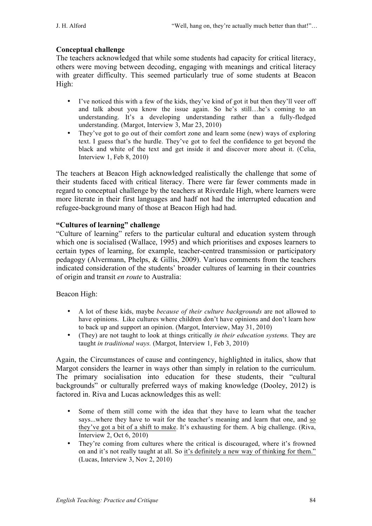## **Conceptual challenge**

The teachers acknowledged that while some students had capacity for critical literacy, others were moving between decoding, engaging with meanings and critical literacy with greater difficulty. This seemed particularly true of some students at Beacon High:

- I've noticed this with a few of the kids, they've kind of got it but then they'll veer off and talk about you know the issue again. So he's still…he's coming to an understanding. It's a developing understanding rather than a fully-fledged understanding. (Margot, Interview 3, Mar 23, 2010)
- They've got to go out of their comfort zone and learn some (new) ways of exploring text. I guess that's the hurdle. They've got to feel the confidence to get beyond the black and white of the text and get inside it and discover more about it. (Celia, Interview 1, Feb 8, 2010)

The teachers at Beacon High acknowledged realistically the challenge that some of their students faced with critical literacy. There were far fewer comments made in regard to conceptual challenge by the teachers at Riverdale High, where learners were more literate in their first languages and hadf not had the interrupted education and refugee-background many of those at Beacon High had had.

### **"Cultures of learning" challenge**

"Culture of learning" refers to the particular cultural and education system through which one is socialised (Wallace, 1995) and which prioritises and exposes learners to certain types of learning, for example, teacher-centred transmission or participatory pedagogy (Alvermann, Phelps, & Gillis, 2009). Various comments from the teachers indicated consideration of the students' broader cultures of learning in their countries of origin and transit *en route* to Australia:

#### Beacon High:

- A lot of these kids, maybe *because of their culture backgrounds* are not allowed to have opinions. Like cultures where children don't have opinions and don't learn how to back up and support an opinion. (Margot, Interview, May 31, 2010)
- (They) are not taught to look at things critically *in their education systems.* They are taught *in traditional ways.* (Margot, Interview 1, Feb 3, 2010)

Again, the Circumstances of cause and contingency, highlighted in italics, show that Margot considers the learner in ways other than simply in relation to the curriculum. The primary socialisation into education for these students, their "cultural backgrounds" or culturally preferred ways of making knowledge (Dooley, 2012) is factored in. Riva and Lucas acknowledges this as well:

- Some of them still come with the idea that they have to learn what the teacher says...where they have to wait for the teacher's meaning and learn that one, and so they've got a bit of a shift to make. It's exhausting for them. A big challenge. (Riva, Interview 2, Oct 6, 2010)
- They're coming from cultures where the critical is discouraged, where it's frowned on and it's not really taught at all. So it's definitely a new way of thinking for them." (Lucas, Interview 3, Nov 2, 2010)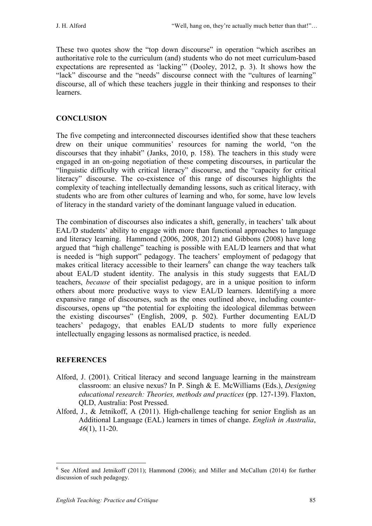These two quotes show the "top down discourse" in operation "which ascribes an authoritative role to the curriculum (and) students who do not meet curriculum-based expectations are represented as 'lacking'" (Dooley, 2012, p. 3). It shows how the "lack" discourse and the "needs" discourse connect with the "cultures of learning" discourse, all of which these teachers juggle in their thinking and responses to their learners.

# **CONCLUSION**

The five competing and interconnected discourses identified show that these teachers drew on their unique communities' resources for naming the world, "on the discourses that they inhabit" (Janks, 2010, p. 158). The teachers in this study were engaged in an on-going negotiation of these competing discourses, in particular the "linguistic difficulty with critical literacy" discourse, and the "capacity for critical literacy" discourse. The co-existence of this range of discourses highlights the complexity of teaching intellectually demanding lessons, such as critical literacy, with students who are from other cultures of learning and who, for some, have low levels of literacy in the standard variety of the dominant language valued in education.

The combination of discourses also indicates a shift, generally, in teachers' talk about EAL/D students' ability to engage with more than functional approaches to language and literacy learning. Hammond (2006, 2008, 2012) and Gibbons (2008) have long argued that "high challenge" teaching is possible with EAL/D learners and that what is needed is "high support" pedagogy. The teachers' employment of pedagogy that makes critical literacy accessible to their learners $<sup>6</sup>$  can change the way teachers talk</sup> about EAL/D student identity. The analysis in this study suggests that EAL/D teachers, *because* of their specialist pedagogy, are in a unique position to inform others about more productive ways to view EAL/D learners. Identifying a more expansive range of discourses, such as the ones outlined above, including counterdiscourses, opens up "the potential for exploiting the ideological dilemmas between the existing discourses" (English, 2009, p. 502). Further documenting EAL/D teachers' pedagogy, that enables EAL/D students to more fully experience intellectually engaging lessons as normalised practice, is needed.

# **REFERENCES**

- Alford, J. (2001). Critical literacy and second language learning in the mainstream classroom: an elusive nexus? In P. Singh & E. McWilliams (Eds.), *Designing educational research: Theories, methods and practices* (pp. 127-139). Flaxton, QLD, Australia: Post Pressed.
- Alford, J., & Jetnikoff, A (2011). High-challenge teaching for senior English as an Additional Language (EAL) learners in times of change. *English in Australia*, *46*(1), 11-20.

<sup>&</sup>lt;sup>6</sup> See Alford and Jetnikoff (2011); Hammond (2006); and Miller and McCallum (2014) for further discussion of such pedagogy.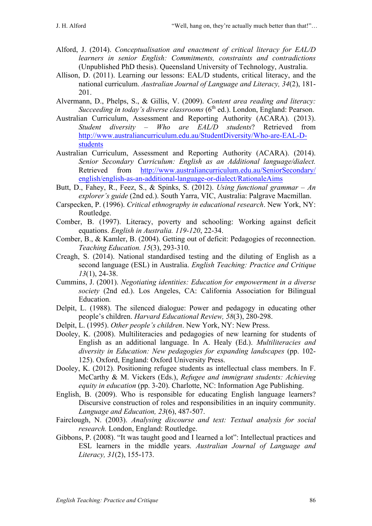- Alford, J. (2014). *Conceptualisation and enactment of critical literacy for EAL/D learners in senior English: Commitments, constraints and contradictions* (Unpublished PhD thesis). Queensland University of Technology, Australia.
- Allison, D. (2011). Learning our lessons: EAL/D students, critical literacy, and the national curriculum. *Australian Journal of Language and Literacy, 34*(2), 181- 201.
- Alvermann, D., Phelps, S., & Gillis, V. (2009). *Content area reading and literacy: Succeeding in today's diverse classrooms* (6<sup>th</sup> ed.). London, England: Pearson.
- Australian Curriculum, Assessment and Reporting Authority (ACARA). (2013). *Student diversity – Who are EAL/D students*? Retrieved from http://www.australiancurriculum.edu.au/StudentDiversity/Who-are-EAL-Dstudents
- Australian Curriculum, Assessment and Reporting Authority (ACARA). (2014). *Senior Secondary Curriculum: English as an Additional language/dialect.* Retrieved from http://www.australiancurriculum.edu.au/SeniorSecondary/ english/english-as-an-additional-language-or-dialect/RationaleAims
- Butt, D., Fahey, R., Feez, S., & Spinks, S. (2012). *Using functional grammar – An explorer's guide* (2nd ed.). South Yarra, VIC, Australia: Palgrave Macmillan.
- Carspecken, P. (1996). *Critical ethnography in educational research*. New York, NY: Routledge.
- Comber, B. (1997). Literacy, poverty and schooling: Working against deficit equations. *English in Australia. 119-120*, 22-34.
- Comber, B., & Kamler, B. (2004). Getting out of deficit: Pedagogies of reconnection. *Teaching Education. 15*(3), 293-310.
- Creagh, S. (2014). National standardised testing and the diluting of English as a second language (ESL) in Australia. *English Teaching: Practice and Critique 13*(1), 24-38.
- Cummins, J. (2001). *Negotiating identities: Education for empowerment in a diverse society* (2nd ed.). Los Angeles, CA: California Association for Bilingual Education.
- Delpit, L. (1988). The silenced dialogue: Power and pedagogy in educating other people's children. *Harvard Educational Review, 58*(3), 280-298.
- Delpit, L. (1995). *Other people's children*. New York, NY: New Press.
- Dooley, K. (2008). Multiliteracies and pedagogies of new learning for students of English as an additional language. In A. Healy (Ed.). *Multiliteracies and diversity in Education: New pedagogies for expanding landscapes* (pp. 102- 125). Oxford, England: Oxford University Press.
- Dooley, K. (2012). Positioning refugee students as intellectual class members. In F. McCarthy & M. Vickers (Eds.), *Refugee and immigrant students: Achieving equity in education* (pp. 3-20). Charlotte, NC: Information Age Publishing.
- English, B. (2009). Who is responsible for educating English language learners? Discursive construction of roles and responsibilities in an inquiry community. *Language and Education, 23*(6), 487-507.
- Fairclough, N. (2003). *Analysing discourse and text: Textual analysis for social research.* London, England: Routledge.
- Gibbons, P. (2008). "It was taught good and I learned a lot": Intellectual practices and ESL learners in the middle years. *Australian Journal of Language and Literacy, 31*(2), 155-173.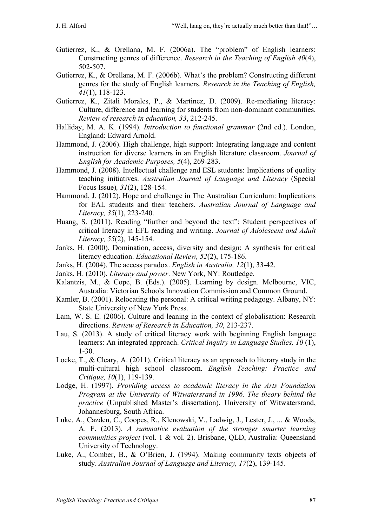- Gutierrez, K., & Orellana, M. F. (2006a). The "problem" of English learners: Constructing genres of difference. *Research in the Teaching of English 40*(4), 502-507.
- Gutierrez, K., & Orellana, M. F. (2006b). What's the problem? Constructing different genres for the study of English learners. *Research in the Teaching of English, 41*(1), 118-123.
- Gutierrez, K., Zitali Morales, P., & Martinez, D. (2009). Re-mediating literacy: Culture, difference and learning for students from non-dominant communities. *Review of research in education, 33*, 212-245.
- Halliday, M. A. K. (1994). *Introduction to functional grammar* (2nd ed.). London, England: Edward Arnold.
- Hammond, J. (2006). High challenge, high support: Integrating language and content instruction for diverse learners in an English literature classroom. *Journal of English for Academic Purposes, 5*(4), 269-283.
- Hammond, J. (2008). Intellectual challenge and ESL students: Implications of quality teaching initiatives. *Australian Journal of Language and Literacy* (Special Focus Issue)*, 31*(2), 128-154.
- Hammond, J. (2012). Hope and challenge in The Australian Curriculum: Implications for EAL students and their teachers. *Australian Journal of Language and Literacy, 35*(1), 223-240.
- Huang, S. (2011). Reading "further and beyond the text": Student perspectives of critical literacy in EFL reading and writing. *Journal of Adolescent and Adult Literacy, 55*(2), 145-154.
- Janks, H. (2000). Domination, access, diversity and design: A synthesis for critical literacy education. *Educational Review, 52*(2), 175-186.
- Janks, H. (2004). The access paradox. *English in Australia, 12*(1), 33-42.
- Janks, H. (2010). *Literacy and power*. New York, NY: Routledge.
- Kalantzis, M., & Cope, B. (Eds.). (2005). Learning by design. Melbourne, VIC, Australia: Victorian Schools Innovation Commission and Common Ground.
- Kamler, B. (2001). Relocating the personal: A critical writing pedagogy. Albany, NY: State University of New York Press.
- Lam, W. S. E. (2006). Culture and leaning in the context of globalisation: Research directions. *Review of Research in Education, 30*, 213-237.
- Lau, S. (2013). A study of critical literacy work with beginning English language learners: An integrated approach. *Critical Inquiry in Language Studies, 10* (1), 1-30.
- Locke, T., & Cleary, A. (2011). Critical literacy as an approach to literary study in the multi-cultural high school classroom. *English Teaching: Practice and Critique, 10*(1), 119-139.
- Lodge, H. (1997). *Providing access to academic literacy in the Arts Foundation Program at the University of Witwatersrand in 1996. The theory behind the practice* (Unpublished Master's dissertation). University of Witwatersrand, Johannesburg, South Africa.
- Luke, A., Cazden, C., Coopes, R., Klenowski, V., Ladwig, J., Lester, J., ... & Woods, A. F. (2013). *A summative evaluation of the stronger smarter learning communities project* (vol. 1 & vol. 2). Brisbane, QLD, Australia: Queensland University of Technology.
- Luke, A., Comber, B., & O'Brien, J. (1994). Making community texts objects of study. *Australian Journal of Language and Literacy, 17*(2), 139-145.